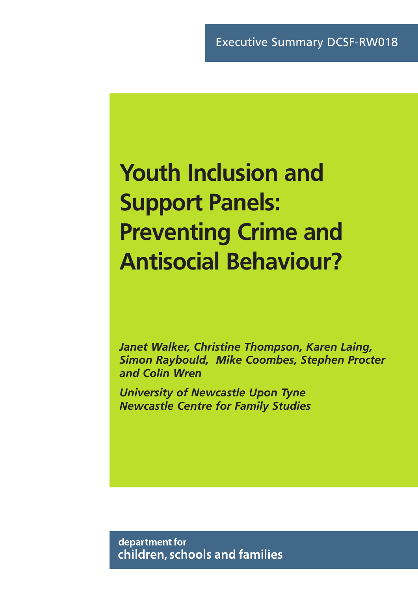# **Youth Inclusion and Support Panels: Preventing Crime and Antisocial Behaviour?**

*Janet Walker, Christine Thompson, Karen Laing, Simon Raybould, Mike Coombes, Stephen Procter and Colin Wren*

*University of Newcastle Upon Tyne Newcastle Centre for Family Studies*

department for children, schools and families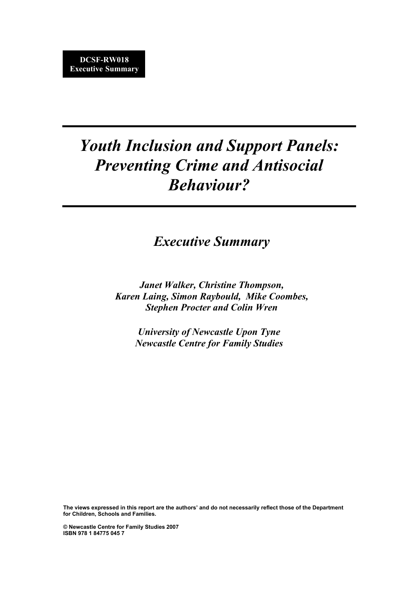# *Youth Inclusion and Support Panels: Preventing Crime and Antisocial Behaviour?*

*Executive Summary*

*Janet Walker, Christine Thompson, Karen Laing, Simon Raybould, Mike Coombes, Stephen Procter and Colin Wren*

> *University of Newcastle Upon Tyne Newcastle Centre for Family Studies*

**The views expressed in this report are the authors' and do not necessarily reflect those of the Department for Children, Schools and Families.**

**© Newcastle Centre for Family Studies 2007 ISBN 978 1 84775 045 7**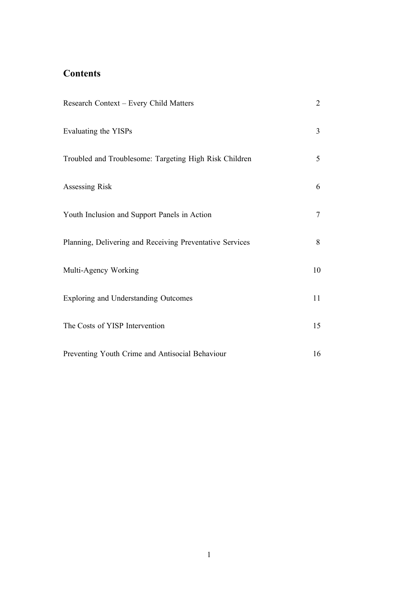# **Contents**

| Research Context - Every Child Matters                   | $\overline{2}$ |
|----------------------------------------------------------|----------------|
| Evaluating the YISPs                                     | $\overline{3}$ |
| Troubled and Troublesome: Targeting High Risk Children   | 5              |
| Assessing Risk                                           | 6              |
| Youth Inclusion and Support Panels in Action             | 7              |
| Planning, Delivering and Receiving Preventative Services | 8              |
| Multi-Agency Working                                     | 10             |
| <b>Exploring and Understanding Outcomes</b>              | 11             |
| The Costs of YISP Intervention                           | 15             |
| Preventing Youth Crime and Antisocial Behaviour          | 16             |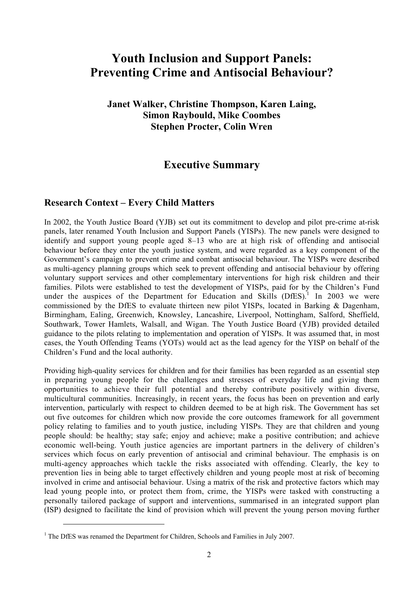# **Youth Inclusion and Support Panels: Preventing Crime and Antisocial Behaviour?**

**Janet Walker, Christine Thompson, Karen Laing, Simon Raybould, Mike Coombes Stephen Procter, Colin Wren**

# **Executive Summary**

# **Research Context – Every Child Matters**

In 2002, the Youth Justice Board (YJB) set out its commitment to develop and pilot pre-crime at-risk panels, later renamed Youth Inclusion and Support Panels (YISPs). The new panels were designed to identify and support young people aged 8–13 who are at high risk of offending and antisocial behaviour before they enter the youth justice system, and were regarded as a key component of the Government's campaign to prevent crime and combat antisocial behaviour. The YISPs were described as multi-agency planning groups which seek to prevent offending and antisocial behaviour by offering voluntary support services and other complementary interventions for high risk children and their families. Pilots were established to test the development of YISPs, paid for by the Children's Fund under the auspices of the Department for Education and Skills  $(DfES)$ <sup>1</sup> In 2003 we were commissioned by the DfES to evaluate thirteen new pilot YISPs, located in Barking & Dagenham, Birmingham, Ealing, Greenwich, Knowsley, Lancashire, Liverpool, Nottingham, Salford, Sheffield, Southwark, Tower Hamlets, Walsall, and Wigan. The Youth Justice Board (YJB) provided detailed guidance to the pilots relating to implementation and operation of YISPs. It was assumed that, in most cases, the Youth Offending Teams (YOTs) would act as the lead agency for the YISP on behalf of the Children's Fund and the local authority.

Providing high-quality services for children and for their families has been regarded as an essential step in preparing young people for the challenges and stresses of everyday life and giving them opportunities to achieve their full potential and thereby contribute positively within diverse, multicultural communities. Increasingly, in recent years, the focus has been on prevention and early intervention, particularly with respect to children deemed to be at high risk. The Government has set out five outcomes for children which now provide the core outcomes framework for all government policy relating to families and to youth justice, including YISPs. They are that children and young people should: be healthy; stay safe; enjoy and achieve; make a positive contribution; and achieve economic well-being. Youth justice agencies are important partners in the delivery of children's services which focus on early prevention of antisocial and criminal behaviour. The emphasis is on multi-agency approaches which tackle the risks associated with offending. Clearly, the key to prevention lies in being able to target effectively children and young people most at risk of becoming involved in crime and antisocial behaviour. Using a matrix of the risk and protective factors which may lead young people into, or protect them from, crime, the YISPs were tasked with constructing a personally tailored package of support and interventions, summarised in an integrated support plan (ISP) designed to facilitate the kind of provision which will prevent the young person moving further

 $\overline{a}$ 

<sup>&</sup>lt;sup>1</sup> The DfES was renamed the Department for Children, Schools and Families in July 2007.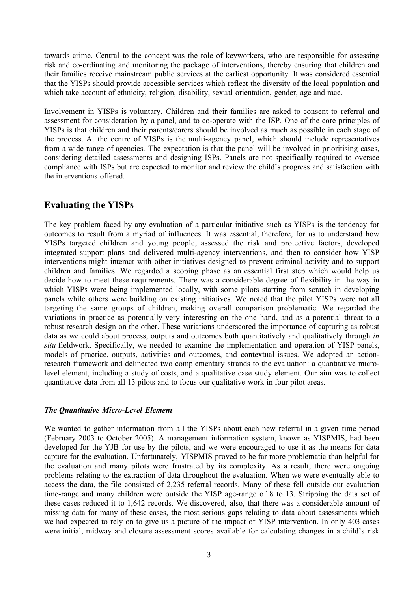towards crime. Central to the concept was the role of keyworkers, who are responsible for assessing risk and co-ordinating and monitoring the package of interventions, thereby ensuring that children and their families receive mainstream public services at the earliest opportunity. It was considered essential that the YISPs should provide accessible services which reflect the diversity of the local population and which take account of ethnicity, religion, disability, sexual orientation, gender, age and race.

Involvement in YISPs is voluntary. Children and their families are asked to consent to referral and assessment for consideration by a panel, and to co-operate with the ISP. One of the core principles of YISPs is that children and their parents/carers should be involved as much as possible in each stage of the process. At the centre of YISPs is the multi-agency panel, which should include representatives from a wide range of agencies. The expectation is that the panel will be involved in prioritising cases, considering detailed assessments and designing ISPs. Panels are not specifically required to oversee compliance with ISPs but are expected to monitor and review the child's progress and satisfaction with the interventions offered.

# **Evaluating the YISPs**

The key problem faced by any evaluation of a particular initiative such as YISPs is the tendency for outcomes to result from a myriad of influences. It was essential, therefore, for us to understand how YISPs targeted children and young people, assessed the risk and protective factors, developed integrated support plans and delivered multi-agency interventions, and then to consider how YISP interventions might interact with other initiatives designed to prevent criminal activity and to support children and families. We regarded a scoping phase as an essential first step which would help us decide how to meet these requirements. There was a considerable degree of flexibility in the way in which YISPs were being implemented locally, with some pilots starting from scratch in developing panels while others were building on existing initiatives. We noted that the pilot YISPs were not all targeting the same groups of children, making overall comparison problematic. We regarded the variations in practice as potentially very interesting on the one hand, and as a potential threat to a robust research design on the other. These variations underscored the importance of capturing as robust data as we could about process, outputs and outcomes both quantitatively and qualitatively through *in situ* fieldwork. Specifically, we needed to examine the implementation and operation of YISP panels, models of practice, outputs, activities and outcomes, and contextual issues. We adopted an actionresearch framework and delineated two complementary strands to the evaluation: a quantitative microlevel element, including a study of costs, and a qualitative case study element. Our aim was to collect quantitative data from all 13 pilots and to focus our qualitative work in four pilot areas.

# *The Quantitative Micro-Level Element*

We wanted to gather information from all the YISPs about each new referral in a given time period (February 2003 to October 2005). A management information system, known as YISPMIS, had been developed for the YJB for use by the pilots, and we were encouraged to use it as the means for data capture for the evaluation. Unfortunately, YISPMIS proved to be far more problematic than helpful for the evaluation and many pilots were frustrated by its complexity. As a result, there were ongoing problems relating to the extraction of data throughout the evaluation. When we were eventually able to access the data, the file consisted of 2,235 referral records. Many of these fell outside our evaluation time-range and many children were outside the YISP age-range of 8 to 13. Stripping the data set of these cases reduced it to 1,642 records. We discovered, also, that there was a considerable amount of missing data for many of these cases, the most serious gaps relating to data about assessments which we had expected to rely on to give us a picture of the impact of YISP intervention. In only 403 cases were initial, midway and closure assessment scores available for calculating changes in a child's risk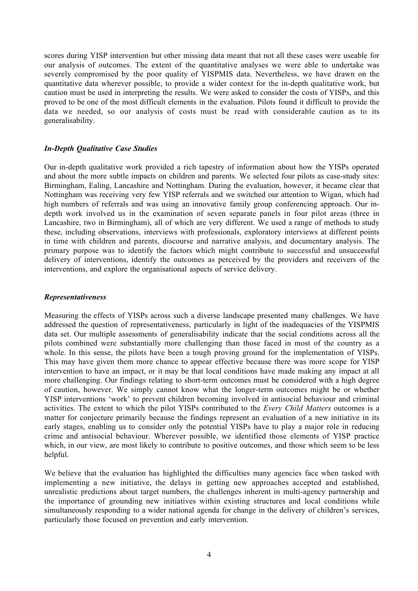scores during YISP intervention but other missing data meant that not all these cases were useable for our analysis of outcomes. The extent of the quantitative analyses we were able to undertake was severely compromised by the poor quality of YISPMIS data. Nevertheless, we have drawn on the quantitative data wherever possible, to provide a wider context for the in-depth qualitative work, but caution must be used in interpreting the results. We were asked to consider the costs of YISPs, and this proved to be one of the most difficult elements in the evaluation. Pilots found it difficult to provide the data we needed, so our analysis of costs must be read with considerable caution as to its generalisability.

#### *In-Depth Qualitative Case Studies*

Our in-depth qualitative work provided a rich tapestry of information about how the YISPs operated and about the more subtle impacts on children and parents. We selected four pilots as case-study sites: Birmingham, Ealing, Lancashire and Nottingham. During the evaluation, however, it became clear that Nottingham was receiving very few YISP referrals and we switched our attention to Wigan, which had high numbers of referrals and was using an innovative family group conferencing approach. Our indepth work involved us in the examination of seven separate panels in four pilot areas (three in Lancashire, two in Birmingham), all of which are very different. We used a range of methods to study these, including observations, interviews with professionals, exploratory interviews at different points in time with children and parents, discourse and narrative analysis, and documentary analysis. The primary purpose was to identify the factors which might contribute to successful and unsuccessful delivery of interventions, identify the outcomes as perceived by the providers and receivers of the interventions, and explore the organisational aspects of service delivery.

#### *Representativeness*

Measuring the effects of YISPs across such a diverse landscape presented many challenges. We have addressed the question of representativeness, particularly in light of the inadequacies of the YISPMIS data set. Our multiple assessments of generalisability indicate that the social conditions across all the pilots combined were substantially more challenging than those faced in most of the country as a whole. In this sense, the pilots have been a tough proving ground for the implementation of YISPs. This may have given them more chance to appear effective because there was more scope for YISP intervention to have an impact, or it may be that local conditions have made making any impact at all more challenging. Our findings relating to short-term outcomes must be considered with a high degree of caution, however. We simply cannot know what the longer-term outcomes might be or whether YISP interventions 'work' to prevent children becoming involved in antisocial behaviour and criminal activities. The extent to which the pilot YISPs contributed to the *Every Child Matters* outcomes is a matter for conjecture primarily because the findings represent an evaluation of a new initiative in its early stages, enabling us to consider only the potential YISPs have to play a major role in reducing crime and antisocial behaviour. Wherever possible, we identified those elements of YISP practice which, in our view, are most likely to contribute to positive outcomes, and those which seem to be less helpful.

We believe that the evaluation has highlighted the difficulties many agencies face when tasked with implementing a new initiative, the delays in getting new approaches accepted and established, unrealistic predictions about target numbers, the challenges inherent in multi-agency partnership and the importance of grounding new initiatives within existing structures and local conditions while simultaneously responding to a wider national agenda for change in the delivery of children's services, particularly those focused on prevention and early intervention.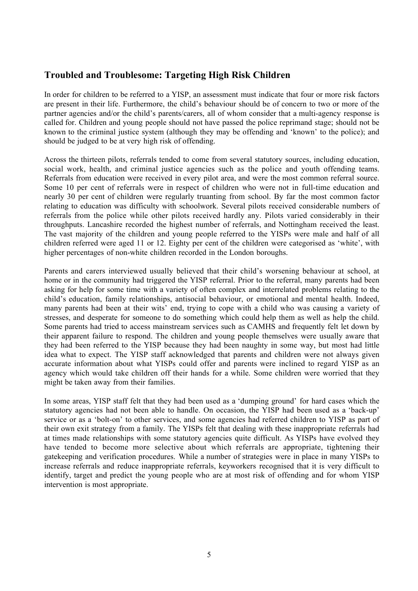# **Troubled and Troublesome: Targeting High Risk Children**

In order for children to be referred to a YISP, an assessment must indicate that four or more risk factors are present in their life. Furthermore, the child's behaviour should be of concern to two or more of the partner agencies and/or the child's parents/carers, all of whom consider that a multi-agency response is called for. Children and young people should not have passed the police reprimand stage; should not be known to the criminal justice system (although they may be offending and 'known' to the police); and should be judged to be at very high risk of offending.

Across the thirteen pilots, referrals tended to come from several statutory sources, including education, social work, health, and criminal justice agencies such as the police and youth offending teams. Referrals from education were received in every pilot area, and were the most common referral source. Some 10 per cent of referrals were in respect of children who were not in full-time education and nearly 30 per cent of children were regularly truanting from school. By far the most common factor relating to education was difficulty with schoolwork. Several pilots received considerable numbers of referrals from the police while other pilots received hardly any. Pilots varied considerably in their throughputs. Lancashire recorded the highest number of referrals, and Nottingham received the least. The vast majority of the children and young people referred to the YISPs were male and half of all children referred were aged 11 or 12. Eighty per cent of the children were categorised as 'white', with higher percentages of non-white children recorded in the London boroughs.

Parents and carers interviewed usually believed that their child's worsening behaviour at school, at home or in the community had triggered the YISP referral. Prior to the referral, many parents had been asking for help for some time with a variety of often complex and interrelated problems relating to the child's education, family relationships, antisocial behaviour, or emotional and mental health. Indeed, many parents had been at their wits' end, trying to cope with a child who was causing a variety of stresses, and desperate for someone to do something which could help them as well as help the child. Some parents had tried to access mainstream services such as CAMHS and frequently felt let down by their apparent failure to respond. The children and young people themselves were usually aware that they had been referred to the YISP because they had been naughty in some way, but most had little idea what to expect. The YISP staff acknowledged that parents and children were not always given accurate information about what YISPs could offer and parents were inclined to regard YISP as an agency which would take children off their hands for a while. Some children were worried that they might be taken away from their families.

In some areas, YISP staff felt that they had been used as a 'dumping ground' for hard cases which the statutory agencies had not been able to handle. On occasion, the YISP had been used as a 'back-up' service or as a 'bolt-on' to other services, and some agencies had referred children to YISP as part of their own exit strategy from a family. The YISPs felt that dealing with these inappropriate referrals had at times made relationships with some statutory agencies quite difficult. As YISPs have evolved they have tended to become more selective about which referrals are appropriate, tightening their gatekeeping and verification procedures. While a number of strategies were in place in many YISPs to increase referrals and reduce inappropriate referrals, keyworkers recognised that it is very difficult to identify, target and predict the young people who are at most risk of offending and for whom YISP intervention is most appropriate.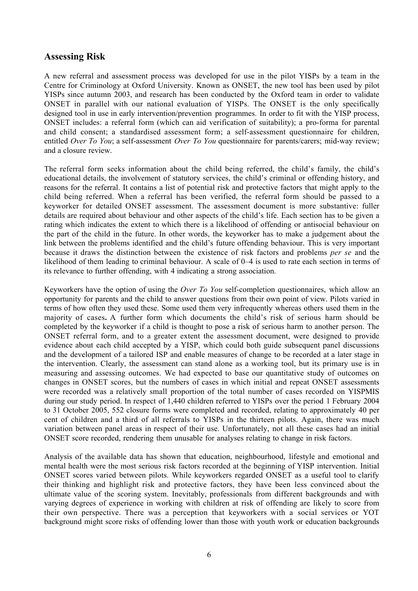# **Assessing Risk**

A new referral and assessment process was developed for use in the pilot YISPs by a team in the Centre for Criminology at Oxford University. Known as ONSET, the new tool has been used by pilot YISPs since autumn 2003, and research has been conducted by the Oxford team in order to validate ONSET in parallel with our national evaluation of YISPs. The ONSET is the only specifically designed tool in use in early intervention/prevention programmes. In order to fit with the YISP process, ONSET includes: a referral form (which can aid verification of suitability); a pro-forma for parental and child consent; a standardised assessment form; a self-assessment questionnaire for children, entitled *Over To You*; a self-assessment *Over To You* questionnaire for parents/carers; mid-way review; and a closure review.

The referral form seeks information about the child being referred, the child's family, the child's educational details, the involvement of statutory services, the child's criminal or offending history, and reasons for the referral. It contains a list of potential risk and protective factors that might apply to the child being referred. When a referral has been verified, the referral form should be passed to a keyworker for detailed ONSET assessment. The assessment document is more substantive: fuller details are required about behaviour and other aspects of the child's life. Each section has to be given a rating which indicates the extent to which there is a likelihood of offending or antisocial behaviour on the part of the child in the future. In other words, the keyworker has to make a judgement about the link between the problems identified and the child's future offending behaviour. This is very important because it draws the distinction between the existence of risk factors and problems *per se* and the likelihood of them leading to criminal behaviour. A scale of 0–4 is used to rate each section in terms of its relevance to further offending, with 4 indicating a strong association.

Keyworkers have the option of using the *Over To You* self-completion questionnaires, which allow an opportunity for parents and the child to answer questions from their own point of view. Pilots varied in terms of how often they used these. Some used them very infrequently whereas others used them in the majority of cases**.** A further form which documents the child's risk of serious harm should be completed by the keyworker if a child is thought to pose a risk of serious harm to another person. The ONSET referral form, and to a greater extent the assessment document, were designed to provide evidence about each child accepted by a YISP, which could both guide subsequent panel discussions and the development of a tailored ISP and enable measures of change to be recorded at a later stage in the intervention. Clearly, the assessment can stand alone as a working tool, but its primary use is in measuring and assessing outcomes. We had expected to base our quantitative study of outcomes on changes in ONSET scores, but the numbers of cases in which initial and repeat ONSET assessments were recorded was a relatively small proportion of the total number of cases recorded on YISPMIS during our study period. In respect of 1,440 children referred to YISPs over the period 1 February 2004 to 31 October 2005, 552 closure forms were completed and recorded, relating to approximately 40 per cent of children and a third of all referrals to YISPs in the thirteen pilots. Again, there was much variation between panel areas in respect of their use. Unfortunately, not all these cases had an initial ONSET score recorded, rendering them unusable for analyses relating to change in risk factors.

Analysis of the available data has shown that education, neighbourhood, lifestyle and emotional and mental health were the most serious risk factors recorded at the beginning of YISP intervention. Initial ONSET scores varied between pilots. While keyworkers regarded ONSET as a useful tool to clarify their thinking and highlight risk and protective factors, they have been less convinced about the ultimate value of the scoring system. Inevitably, professionals from different backgrounds and with varying degrees of experience in working with children at risk of offending are likely to score from their own perspective. There was a perception that keyworkers with a social services or YOT background might score risks of offending lower than those with youth work or education backgrounds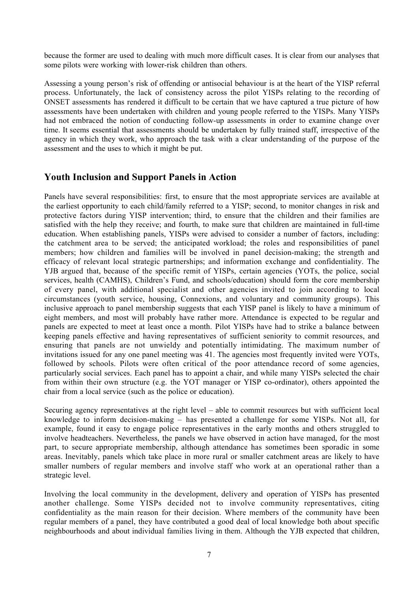because the former are used to dealing with much more difficult cases. It is clear from our analyses that some pilots were working with lower-risk children than others.

Assessing a young person's risk of offending or antisocial behaviour is at the heart of the YISP referral process. Unfortunately, the lack of consistency across the pilot YISPs relating to the recording of ONSET assessments has rendered it difficult to be certain that we have captured a true picture of how assessments have been undertaken with children and young people referred to the YISPs. Many YISPs had not embraced the notion of conducting follow-up assessments in order to examine change over time. It seems essential that assessments should be undertaken by fully trained staff, irrespective of the agency in which they work, who approach the task with a clear understanding of the purpose of the assessment and the uses to which it might be put.

# **Youth Inclusion and Support Panels in Action**

Panels have several responsibilities: first, to ensure that the most appropriate services are available at the earliest opportunity to each child/family referred to a YISP; second, to monitor changes in risk and protective factors during YISP intervention; third, to ensure that the children and their families are satisfied with the help they receive; and fourth, to make sure that children are maintained in full-time education. When establishing panels, YISPs were advised to consider a number of factors, including: the catchment area to be served; the anticipated workload; the roles and responsibilities of panel members; how children and families will be involved in panel decision-making; the strength and efficacy of relevant local strategic partnerships; and information exchange and confidentiality. The YJB argued that, because of the specific remit of YISPs, certain agencies (YOTs, the police, social services, health (CAMHS), Children's Fund, and schools/education) should form the core membership of every panel, with additional specialist and other agencies invited to join according to local circumstances (youth service, housing, Connexions, and voluntary and community groups). This inclusive approach to panel membership suggests that each YISP panel is likely to have a minimum of eight members, and most will probably have rather more. Attendance is expected to be regular and panels are expected to meet at least once a month. Pilot YISPs have had to strike a balance between keeping panels effective and having representatives of sufficient seniority to commit resources, and ensuring that panels are not unwieldy and potentially intimidating. The maximum number of invitations issued for any one panel meeting was 41. The agencies most frequently invited were YOTs, followed by schools. Pilots were often critical of the poor attendance record of some agencies, particularly social services. Each panel has to appoint a chair, and while many YISPs selected the chair from within their own structure (e.g. the YOT manager or YISP co-ordinator), others appointed the chair from a local service (such as the police or education).

Securing agency representatives at the right level – able to commit resources but with sufficient local knowledge to inform decision-making – has presented a challenge for some YISPs. Not all, for example, found it easy to engage police representatives in the early months and others struggled to involve headteachers. Nevertheless, the panels we have observed in action have managed, for the most part, to secure appropriate membership, although attendance has sometimes been sporadic in some areas. Inevitably, panels which take place in more rural or smaller catchment areas are likely to have smaller numbers of regular members and involve staff who work at an operational rather than a strategic level.

Involving the local community in the development, delivery and operation of YISPs has presented another challenge. Some YISPs decided not to involve community representatives, citing confidentiality as the main reason for their decision. Where members of the community have been regular members of a panel, they have contributed a good deal of local knowledge both about specific neighbourhoods and about individual families living in them. Although the YJB expected that children,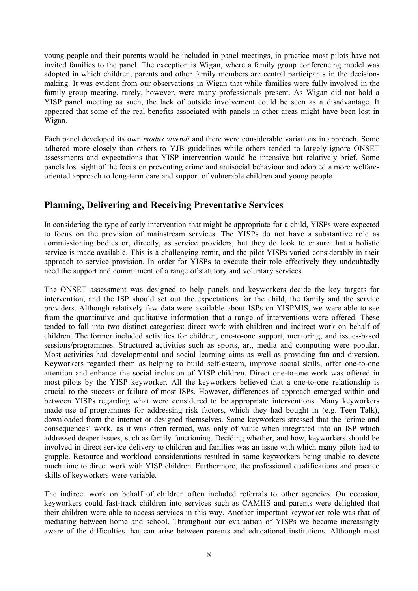young people and their parents would be included in panel meetings, in practice most pilots have not invited families to the panel. The exception is Wigan, where a family group conferencing model was adopted in which children, parents and other family members are central participants in the decisionmaking. It was evident from our observations in Wigan that while families were fully involved in the family group meeting, rarely, however, were many professionals present. As Wigan did not hold a YISP panel meeting as such, the lack of outside involvement could be seen as a disadvantage. It appeared that some of the real benefits associated with panels in other areas might have been lost in Wigan.

Each panel developed its own *modus vivendi* and there were considerable variations in approach. Some adhered more closely than others to YJB guidelines while others tended to largely ignore ONSET assessments and expectations that YISP intervention would be intensive but relatively brief. Some panels lost sight of the focus on preventing crime and antisocial behaviour and adopted a more welfareoriented approach to long-term care and support of vulnerable children and young people.

# **Planning, Delivering and Receiving Preventative Services**

In considering the type of early intervention that might be appropriate for a child, YISPs were expected to focus on the provision of mainstream services. The YISPs do not have a substantive role as commissioning bodies or, directly, as service providers, but they do look to ensure that a holistic service is made available. This is a challenging remit, and the pilot YISPs varied considerably in their approach to service provision. In order for YISPs to execute their role effectively they undoubtedly need the support and commitment of a range of statutory and voluntary services.

The ONSET assessment was designed to help panels and keyworkers decide the key targets for intervention, and the ISP should set out the expectations for the child, the family and the service providers. Although relatively few data were available about ISPs on YISPMIS, we were able to see from the quantitative and qualitative information that a range of interventions were offered. These tended to fall into two distinct categories: direct work with children and indirect work on behalf of children. The former included activities for children, one-to-one support, mentoring, and issues-based sessions/programmes. Structured activities such as sports, art, media and computing were popular. Most activities had developmental and social learning aims as well as providing fun and diversion. Keyworkers regarded them as helping to build self-esteem, improve social skills, offer one-to-one attention and enhance the social inclusion of YISP children. Direct one-to-one work was offered in most pilots by the YISP keyworker. All the keyworkers believed that a one-to-one relationship is crucial to the success or failure of most ISPs. However, differences of approach emerged within and between YISPs regarding what were considered to be appropriate interventions. Many keyworkers made use of programmes for addressing risk factors, which they had bought in (e.g. Teen Talk), downloaded from the internet or designed themselves. Some keyworkers stressed that the 'crime and consequences' work, as it was often termed, was only of value when integrated into an ISP which addressed deeper issues, such as family functioning. Deciding whether, and how, keyworkers should be involved in direct service delivery to children and families was an issue with which many pilots had to grapple. Resource and workload considerations resulted in some keyworkers being unable to devote much time to direct work with YISP children. Furthermore, the professional qualifications and practice skills of keyworkers were variable.

The indirect work on behalf of children often included referrals to other agencies. On occasion, keyworkers could fast-track children into services such as CAMHS and parents were delighted that their children were able to access services in this way. Another important keyworker role was that of mediating between home and school. Throughout our evaluation of YISPs we became increasingly aware of the difficulties that can arise between parents and educational institutions. Although most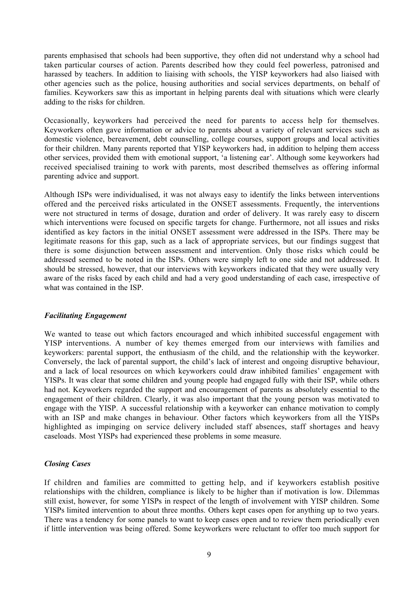parents emphasised that schools had been supportive, they often did not understand why a school had taken particular courses of action. Parents described how they could feel powerless, patronised and harassed by teachers. In addition to liaising with schools, the YISP keyworkers had also liaised with other agencies such as the police, housing authorities and social services departments, on behalf of families. Keyworkers saw this as important in helping parents deal with situations which were clearly adding to the risks for children.

Occasionally, keyworkers had perceived the need for parents to access help for themselves. Keyworkers often gave information or advice to parents about a variety of relevant services such as domestic violence, bereavement, debt counselling, college courses, support groups and local activities for their children. Many parents reported that YISP keyworkers had, in addition to helping them access other services, provided them with emotional support, 'a listening ear'. Although some keyworkers had received specialised training to work with parents, most described themselves as offering informal parenting advice and support.

Although ISPs were individualised, it was not always easy to identify the links between interventions offered and the perceived risks articulated in the ONSET assessments. Frequently, the interventions were not structured in terms of dosage, duration and order of delivery. It was rarely easy to discern which interventions were focused on specific targets for change. Furthermore, not all issues and risks identified as key factors in the initial ONSET assessment were addressed in the ISPs. There may be legitimate reasons for this gap, such as a lack of appropriate services, but our findings suggest that there is some disjunction between assessment and intervention. Only those risks which could be addressed seemed to be noted in the ISPs. Others were simply left to one side and not addressed. It should be stressed, however, that our interviews with keyworkers indicated that they were usually very aware of the risks faced by each child and had a very good understanding of each case, irrespective of what was contained in the ISP.

#### *Facilitating Engagement*

We wanted to tease out which factors encouraged and which inhibited successful engagement with YISP interventions. A number of key themes emerged from our interviews with families and keyworkers: parental support, the enthusiasm of the child, and the relationship with the keyworker. Conversely, the lack of parental support, the child's lack of interest and ongoing disruptive behaviour, and a lack of local resources on which keyworkers could draw inhibited families' engagement with YISPs. It was clear that some children and young people had engaged fully with their ISP, while others had not. Keyworkers regarded the support and encouragement of parents as absolutely essential to the engagement of their children. Clearly, it was also important that the young person was motivated to engage with the YISP. A successful relationship with a keyworker can enhance motivation to comply with an ISP and make changes in behaviour. Other factors which keyworkers from all the YISPs highlighted as impinging on service delivery included staff absences, staff shortages and heavy caseloads. Most YISPs had experienced these problems in some measure.

#### *Closing Cases*

If children and families are committed to getting help, and if keyworkers establish positive relationships with the children, compliance is likely to be higher than if motivation is low. Dilemmas still exist, however, for some YISPs in respect of the length of involvement with YISP children. Some YISPs limited intervention to about three months. Others kept cases open for anything up to two years. There was a tendency for some panels to want to keep cases open and to review them periodically even if little intervention was being offered. Some keyworkers were reluctant to offer too much support for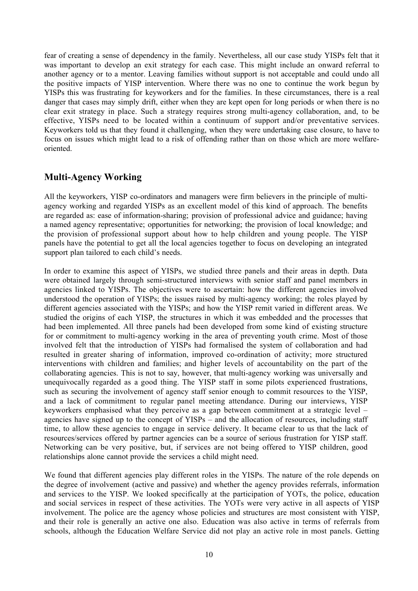fear of creating a sense of dependency in the family. Nevertheless, all our case study YISPs felt that it was important to develop an exit strategy for each case. This might include an onward referral to another agency or to a mentor. Leaving families without support is not acceptable and could undo all the positive impacts of YISP intervention. Where there was no one to continue the work begun by YISPs this was frustrating for keyworkers and for the families. In these circumstances, there is a real danger that cases may simply drift, either when they are kept open for long periods or when there is no clear exit strategy in place. Such a strategy requires strong multi-agency collaboration, and, to be effective, YISPs need to be located within a continuum of support and/or preventative services. Keyworkers told us that they found it challenging, when they were undertaking case closure, to have to focus on issues which might lead to a risk of offending rather than on those which are more welfareoriented.

# **Multi-Agency Working**

All the keyworkers, YISP co-ordinators and managers were firm believers in the principle of multiagency working and regarded YISPs as an excellent model of this kind of approach. The benefits are regarded as: ease of information-sharing; provision of professional advice and guidance; having a named agency representative; opportunities for networking; the provision of local knowledge; and the provision of professional support about how to help children and young people. The YISP panels have the potential to get all the local agencies together to focus on developing an integrated support plan tailored to each child's needs.

In order to examine this aspect of YISPs, we studied three panels and their areas in depth. Data were obtained largely through semi-structured interviews with senior staff and panel members in agencies linked to YISPs. The objectives were to ascertain: how the different agencies involved understood the operation of YISPs; the issues raised by multi-agency working; the roles played by different agencies associated with the YISPs; and how the YISP remit varied in different areas. We studied the origins of each YISP, the structures in which it was embedded and the processes that had been implemented. All three panels had been developed from some kind of existing structure for or commitment to multi-agency working in the area of preventing youth crime. Most of those involved felt that the introduction of YISPs had formalised the system of collaboration and had resulted in greater sharing of information, improved co-ordination of activity; more structured interventions with children and families; and higher levels of accountability on the part of the collaborating agencies. This is not to say, however, that multi-agency working was universally and unequivocally regarded as a good thing. The YISP staff in some pilots experienced frustrations, such as securing the involvement of agency staff senior enough to commit resources to the YISP, and a lack of commitment to regular panel meeting attendance. During our interviews, YISP keyworkers emphasised what they perceive as a gap between commitment at a strategic level – agencies have signed up to the concept of YISPs – and the allocation of resources, including staff time, to allow these agencies to engage in service delivery. It became clear to us that the lack of resources/services offered by partner agencies can be a source of serious frustration for YISP staff. Networking can be very positive, but, if services are not being offered to YISP children, good relationships alone cannot provide the services a child might need.

We found that different agencies play different roles in the YISPs. The nature of the role depends on the degree of involvement (active and passive) and whether the agency provides referrals, information and services to the YISP. We looked specifically at the participation of YOTs, the police, education and social services in respect of these activities. The YOTs were very active in all aspects of YISP involvement. The police are the agency whose policies and structures are most consistent with YISP, and their role is generally an active one also. Education was also active in terms of referrals from schools, although the Education Welfare Service did not play an active role in most panels. Getting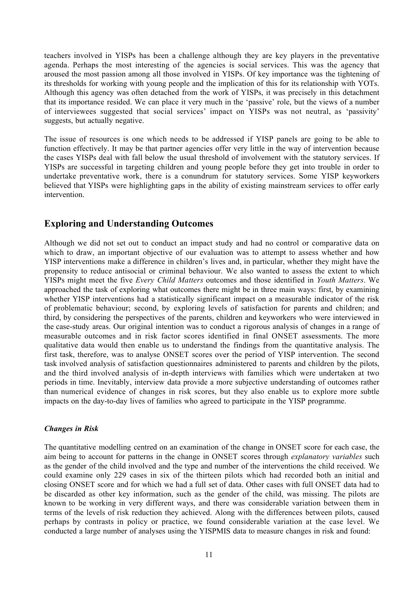teachers involved in YISPs has been a challenge although they are key players in the preventative agenda. Perhaps the most interesting of the agencies is social services. This was the agency that aroused the most passion among all those involved in YISPs. Of key importance was the tightening of its thresholds for working with young people and the implication of this for its relationship with YOTs. Although this agency was often detached from the work of YISPs, it was precisely in this detachment that its importance resided. We can place it very much in the 'passive' role, but the views of a number of interviewees suggested that social services' impact on YISPs was not neutral, as 'passivity' suggests, but actually negative.

The issue of resources is one which needs to be addressed if YISP panels are going to be able to function effectively. It may be that partner agencies offer very little in the way of intervention because the cases YISPs deal with fall below the usual threshold of involvement with the statutory services. If YISPs are successful in targeting children and young people before they get into trouble in order to undertake preventative work, there is a conundrum for statutory services. Some YISP keyworkers believed that YISPs were highlighting gaps in the ability of existing mainstream services to offer early intervention.

# **Exploring and Understanding Outcomes**

Although we did not set out to conduct an impact study and had no control or comparative data on which to draw, an important objective of our evaluation was to attempt to assess whether and how YISP interventions make a difference in children's lives and, in particular, whether they might have the propensity to reduce antisocial or criminal behaviour. We also wanted to assess the extent to which YISPs might meet the five *Every Child Matters* outcomes and those identified in *Youth Matters*. We approached the task of exploring what outcomes there might be in three main ways: first, by examining whether YISP interventions had a statistically significant impact on a measurable indicator of the risk of problematic behaviour; second, by exploring levels of satisfaction for parents and children; and third, by considering the perspectives of the parents, children and keyworkers who were interviewed in the case-study areas. Our original intention was to conduct a rigorous analysis of changes in a range of measurable outcomes and in risk factor scores identified in final ONSET assessments. The more qualitative data would then enable us to understand the findings from the quantitative analysis. The first task, therefore, was to analyse ONSET scores over the period of YISP intervention. The second task involved analysis of satisfaction questionnaires administered to parents and children by the pilots, and the third involved analysis of in-depth interviews with families which were undertaken at two periods in time. Inevitably, interview data provide a more subjective understanding of outcomes rather than numerical evidence of changes in risk scores, but they also enable us to explore more subtle impacts on the day-to-day lives of families who agreed to participate in the YISP programme.

#### *Changes in Risk*

The quantitative modelling centred on an examination of the change in ONSET score for each case, the aim being to account for patterns in the change in ONSET scores through *explanatory variables* such as the gender of the child involved and the type and number of the interventions the child received. We could examine only 229 cases in six of the thirteen pilots which had recorded both an initial and closing ONSET score and for which we had a full set of data. Other cases with full ONSET data had to be discarded as other key information, such as the gender of the child, was missing. The pilots are known to be working in very different ways, and there was considerable variation between them in terms of the levels of risk reduction they achieved. Along with the differences between pilots, caused perhaps by contrasts in policy or practice, we found considerable variation at the case level. We conducted a large number of analyses using the YISPMIS data to measure changes in risk and found: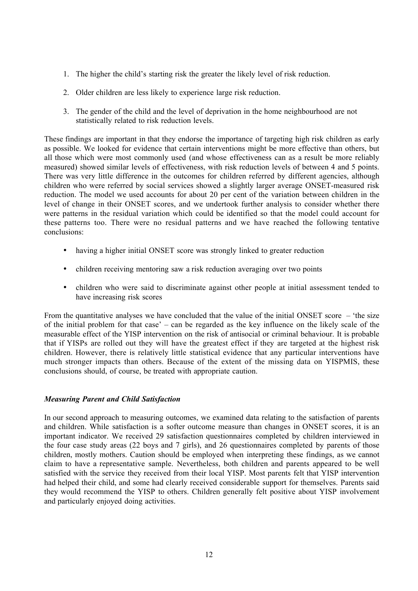- 1. The higher the child's starting risk the greater the likely level of risk reduction.
- 2. Older children are less likely to experience large risk reduction.
- 3. The gender of the child and the level of deprivation in the home neighbourhood are not statistically related to risk reduction levels.

These findings are important in that they endorse the importance of targeting high risk children as early as possible. We looked for evidence that certain interventions might be more effective than others, but all those which were most commonly used (and whose effectiveness can as a result be more reliably measured) showed similar levels of effectiveness, with risk reduction levels of between 4 and 5 points. There was very little difference in the outcomes for children referred by different agencies, although children who were referred by social services showed a slightly larger average ONSET-measured risk reduction. The model we used accounts for about 20 per cent of the variation between children in the level of change in their ONSET scores, and we undertook further analysis to consider whether there were patterns in the residual variation which could be identified so that the model could account for these patterns too. There were no residual patterns and we have reached the following tentative conclusions:

- having a higher initial ONSET score was strongly linked to greater reduction
- children receiving mentoring saw a risk reduction averaging over two points
- children who were said to discriminate against other people at initial assessment tended to have increasing risk scores

From the quantitative analyses we have concluded that the value of the initial ONSET score – 'the size of the initial problem for that case' – can be regarded as the key influence on the likely scale of the measurable effect of the YISP intervention on the risk of antisocial or criminal behaviour. It is probable that if YISPs are rolled out they will have the greatest effect if they are targeted at the highest risk children. However, there is relatively little statistical evidence that any particular interventions have much stronger impacts than others. Because of the extent of the missing data on YISPMIS, these conclusions should, of course, be treated with appropriate caution.

# *Measuring Parent and Child Satisfaction*

In our second approach to measuring outcomes, we examined data relating to the satisfaction of parents and children. While satisfaction is a softer outcome measure than changes in ONSET scores, it is an important indicator. We received 29 satisfaction questionnaires completed by children interviewed in the four case study areas (22 boys and 7 girls), and 26 questionnaires completed by parents of those children, mostly mothers. Caution should be employed when interpreting these findings, as we cannot claim to have a representative sample. Nevertheless, both children and parents appeared to be well satisfied with the service they received from their local YISP. Most parents felt that YISP intervention had helped their child, and some had clearly received considerable support for themselves. Parents said they would recommend the YISP to others. Children generally felt positive about YISP involvement and particularly enjoyed doing activities.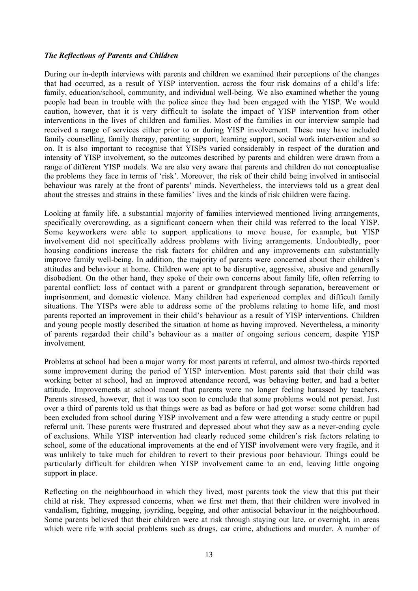#### *The Reflections of Parents and Children*

During our in-depth interviews with parents and children we examined their perceptions of the changes that had occurred, as a result of YISP intervention, across the four risk domains of a child's life: family, education/school, community, and individual well-being. We also examined whether the young people had been in trouble with the police since they had been engaged with the YISP. We would caution, however, that it is very difficult to isolate the impact of YISP intervention from other interventions in the lives of children and families. Most of the families in our interview sample had received a range of services either prior to or during YISP involvement. These may have included family counselling, family therapy, parenting support, learning support, social work intervention and so on. It is also important to recognise that YISPs varied considerably in respect of the duration and intensity of YISP involvement, so the outcomes described by parents and children were drawn from a range of different YISP models. We are also very aware that parents and children do not conceptualise the problems they face in terms of 'risk'. Moreover, the risk of their child being involved in antisocial behaviour was rarely at the front of parents' minds. Nevertheless, the interviews told us a great deal about the stresses and strains in these families' lives and the kinds of risk children were facing.

Looking at family life, a substantial majority of families interviewed mentioned living arrangements, specifically overcrowding, as a significant concern when their child was referred to the local YISP. Some keyworkers were able to support applications to move house, for example, but YISP involvement did not specifically address problems with living arrangements. Undoubtedly, poor housing conditions increase the risk factors for children and any improvements can substantially improve family well-being. In addition, the majority of parents were concerned about their children's attitudes and behaviour at home. Children were apt to be disruptive, aggressive, abusive and generally disobedient. On the other hand, they spoke of their own concerns about family life, often referring to parental conflict; loss of contact with a parent or grandparent through separation, bereavement or imprisonment, and domestic violence. Many children had experienced complex and difficult family situations. The YISPs were able to address some of the problems relating to home life, and most parents reported an improvement in their child's behaviour as a result of YISP interventions. Children and young people mostly described the situation at home as having improved. Nevertheless, a minority of parents regarded their child's behaviour as a matter of ongoing serious concern, despite YISP involvement.

Problems at school had been a major worry for most parents at referral, and almost two-thirds reported some improvement during the period of YISP intervention. Most parents said that their child was working better at school, had an improved attendance record, was behaving better, and had a better attitude. Improvements at school meant that parents were no longer feeling harassed by teachers. Parents stressed, however, that it was too soon to conclude that some problems would not persist. Just over a third of parents told us that things were as bad as before or had got worse: some children had been excluded from school during YISP involvement and a few were attending a study centre or pupil referral unit. These parents were frustrated and depressed about what they saw as a never-ending cycle of exclusions. While YISP intervention had clearly reduced some children's risk factors relating to school, some of the educational improvements at the end of YISP involvement were very fragile, and it was unlikely to take much for children to revert to their previous poor behaviour. Things could be particularly difficult for children when YISP involvement came to an end, leaving little ongoing support in place.

Reflecting on the neighbourhood in which they lived, most parents took the view that this put their child at risk. They expressed concerns, when we first met them, that their children were involved in vandalism, fighting, mugging, joyriding, begging, and other antisocial behaviour in the neighbourhood. Some parents believed that their children were at risk through staying out late, or overnight, in areas which were rife with social problems such as drugs, car crime, abductions and murder. A number of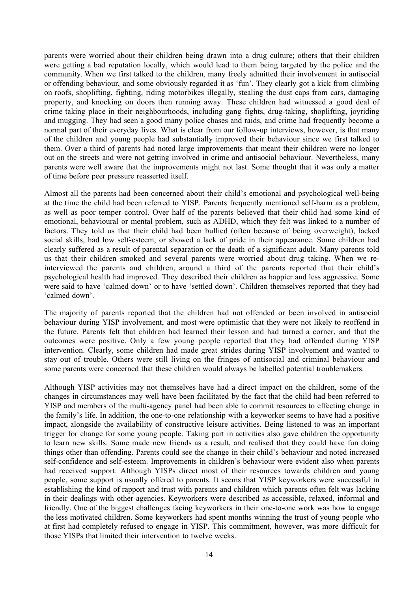parents were worried about their children being drawn into a drug culture; others that their children were getting a bad reputation locally, which would lead to them being targeted by the police and the community. When we first talked to the children, many freely admitted their involvement in antisocial or offending behaviour, and some obviously regarded it as 'fun'. They clearly got a kick from climbing on roofs, shoplifting, fighting, riding motorbikes illegally, stealing the dust caps from cars, damaging property, and knocking on doors then running away. These children had witnessed a good deal of crime taking place in their neighbourhoods, including gang fights, drug-taking, shoplifting, joyriding and mugging. They had seen a good many police chases and raids, and crime had frequently become a normal part of their everyday lives. What is clear from our follow-up interviews, however, is that many of the children and young people had substantially improved their behaviour since we first talked to them. Over a third of parents had noted large improvements that meant their children were no longer out on the streets and were not getting involved in crime and antisocial behaviour. Nevertheless, many parents were well aware that the improvements might not last. Some thought that it was only a matter of time before peer pressure reasserted itself.

Almost all the parents had been concerned about their child's emotional and psychological well-being at the time the child had been referred to YISP. Parents frequently mentioned self-harm as a problem, as well as poor temper control. Over half of the parents believed that their child had some kind of emotional, behavioural or mental problem, such as ADHD, which they felt was linked to a number of factors. They told us that their child had been bullied (often because of being overweight), lacked social skills, had low self-esteem, or showed a lack of pride in their appearance. Some children had clearly suffered as a result of parental separation or the death of a significant adult. Many parents told us that their children smoked and several parents were worried about drug taking. When we reinterviewed the parents and children, around a third of the parents reported that their child's psychological health had improved. They described their children as happier and less aggressive. Some were said to have 'calmed down' or to have 'settled down'. Children themselves reported that they had 'calmed down'.

The majority of parents reported that the children had not offended or been involved in antisocial behaviour during YISP involvement, and most were optimistic that they were not likely to reoffend in the future. Parents felt that children had learned their lesson and had turned a corner, and that the outcomes were positive. Only a few young people reported that they had offended during YISP intervention. Clearly, some children had made great strides during YISP involvement and wanted to stay out of trouble. Others were still living on the fringes of antisocial and criminal behaviour and some parents were concerned that these children would always be labelled potential troublemakers.

Although YISP activities may not themselves have had a direct impact on the children, some of the changes in circumstances may well have been facilitated by the fact that the child had been referred to YISP and members of the multi-agency panel had been able to commit resources to effecting change in the family's life. In addition, the one-to-one relationship with a keyworker seems to have had a positive impact, alongside the availability of constructive leisure activities. Being listened to was an important trigger for change for some young people. Taking part in activities also gave children the opportunity to learn new skills. Some made new friends as a result, and realised that they could have fun doing things other than offending. Parents could see the change in their child's behaviour and noted increased self-confidence and self-esteem. Improvements in children's behaviour were evident also when parents had received support. Although YISPs direct most of their resources towards children and young people, some support is usually offered to parents. It seems that YISP keyworkers were successful in establishing the kind of rapport and trust with parents and children which parents often felt was lacking in their dealings with other agencies. Keyworkers were described as accessible, relaxed, informal and friendly. One of the biggest challenges facing keyworkers in their one-to-one work was how to engage the less motivated children. Some keyworkers had spent months winning the trust of young people who at first had completely refused to engage in YISP. This commitment, however, was more difficult for those YISPs that limited their intervention to twelve weeks.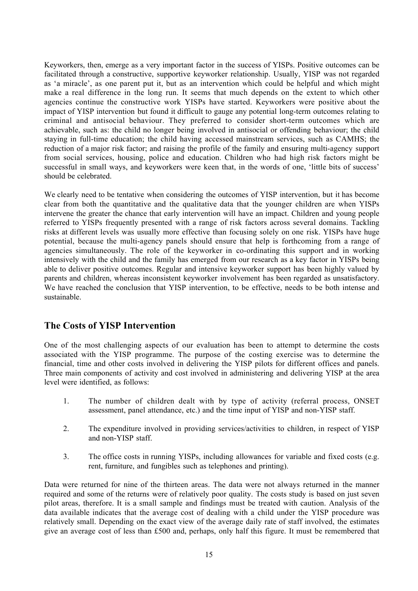Keyworkers, then, emerge as a very important factor in the success of YISPs. Positive outcomes can be facilitated through a constructive, supportive keyworker relationship. Usually, YISP was not regarded as 'a miracle', as one parent put it, but as an intervention which could be helpful and which might make a real difference in the long run. It seems that much depends on the extent to which other agencies continue the constructive work YISPs have started. Keyworkers were positive about the impact of YISP intervention but found it difficult to gauge any potential long-term outcomes relating to criminal and antisocial behaviour. They preferred to consider short-term outcomes which are achievable, such as: the child no longer being involved in antisocial or offending behaviour; the child staying in full-time education; the child having accessed mainstream services, such as CAMHS; the reduction of a major risk factor; and raising the profile of the family and ensuring multi-agency support from social services, housing, police and education. Children who had high risk factors might be successful in small ways, and keyworkers were keen that, in the words of one, 'little bits of success' should be celebrated.

We clearly need to be tentative when considering the outcomes of YISP intervention, but it has become clear from both the quantitative and the qualitative data that the younger children are when YISPs intervene the greater the chance that early intervention will have an impact. Children and young people referred to YISPs frequently presented with a range of risk factors across several domains. Tackling risks at different levels was usually more effective than focusing solely on one risk. YISPs have huge potential, because the multi-agency panels should ensure that help is forthcoming from a range of agencies simultaneously. The role of the keyworker in co-ordinating this support and in working intensively with the child and the family has emerged from our research as a key factor in YISPs being able to deliver positive outcomes. Regular and intensive keyworker support has been highly valued by parents and children, whereas inconsistent keyworker involvement has been regarded as unsatisfactory. We have reached the conclusion that YISP intervention, to be effective, needs to be both intense and sustainable.

# **The Costs of YISP Intervention**

One of the most challenging aspects of our evaluation has been to attempt to determine the costs associated with the YISP programme. The purpose of the costing exercise was to determine the financial, time and other costs involved in delivering the YISP pilots for different offices and panels. Three main components of activity and cost involved in administering and delivering YISP at the area level were identified, as follows:

- 1. The number of children dealt with by type of activity (referral process, ONSET assessment, panel attendance, etc.) and the time input of YISP and non-YISP staff.
- 2. The expenditure involved in providing services/activities to children, in respect of YISP and non-YISP staff.
- 3. The office costs in running YISPs, including allowances for variable and fixed costs (e.g. rent, furniture, and fungibles such as telephones and printing).

Data were returned for nine of the thirteen areas. The data were not always returned in the manner required and some of the returns were of relatively poor quality. The costs study is based on just seven pilot areas, therefore. It is a small sample and findings must be treated with caution. Analysis of the data available indicates that the average cost of dealing with a child under the YISP procedure was relatively small. Depending on the exact view of the average daily rate of staff involved, the estimates give an average cost of less than £500 and, perhaps, only half this figure. It must be remembered that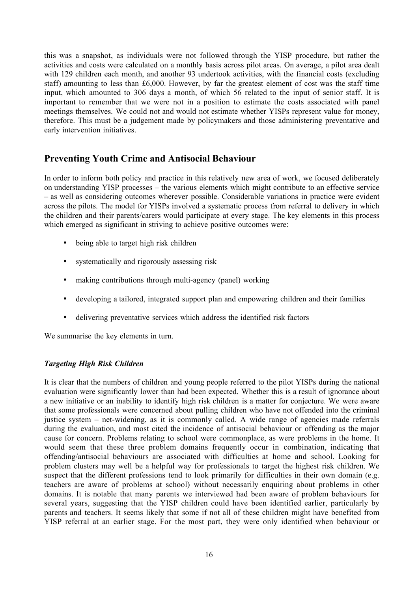this was a snapshot, as individuals were not followed through the YISP procedure, but rather the activities and costs were calculated on a monthly basis across pilot areas. On average, a pilot area dealt with 129 children each month, and another 93 undertook activities, with the financial costs (excluding staff) amounting to less than £6,000. However, by far the greatest element of cost was the staff time input, which amounted to 306 days a month, of which 56 related to the input of senior staff. It is important to remember that we were not in a position to estimate the costs associated with panel meetings themselves. We could not and would not estimate whether YISPs represent value for money, therefore. This must be a judgement made by policymakers and those administering preventative and early intervention initiatives.

# **Preventing Youth Crime and Antisocial Behaviour**

In order to inform both policy and practice in this relatively new area of work, we focused deliberately on understanding YISP processes – the various elements which might contribute to an effective service – as well as considering outcomes wherever possible. Considerable variations in practice were evident across the pilots. The model for YISPs involved a systematic process from referral to delivery in which the children and their parents/carers would participate at every stage. The key elements in this process which emerged as significant in striving to achieve positive outcomes were:

- being able to target high risk children
- systematically and rigorously assessing risk
- making contributions through multi-agency (panel) working
- developing a tailored, integrated support plan and empowering children and their families
- delivering preventative services which address the identified risk factors

We summarise the key elements in turn.

# *Targeting High Risk Children*

It is clear that the numbers of children and young people referred to the pilot YISPs during the national evaluation were significantly lower than had been expected. Whether this is a result of ignorance about a new initiative or an inability to identify high risk children is a matter for conjecture. We were aware that some professionals were concerned about pulling children who have not offended into the criminal justice system – net-widening, as it is commonly called. A wide range of agencies made referrals during the evaluation, and most cited the incidence of antisocial behaviour or offending as the major cause for concern. Problems relating to school were commonplace, as were problems in the home. It would seem that these three problem domains frequently occur in combination, indicating that offending/antisocial behaviours are associated with difficulties at home and school. Looking for problem clusters may well be a helpful way for professionals to target the highest risk children. We suspect that the different professions tend to look primarily for difficulties in their own domain (e.g. teachers are aware of problems at school) without necessarily enquiring about problems in other domains. It is notable that many parents we interviewed had been aware of problem behaviours for several years, suggesting that the YISP children could have been identified earlier, particularly by parents and teachers. It seems likely that some if not all of these children might have benefited from YISP referral at an earlier stage. For the most part, they were only identified when behaviour or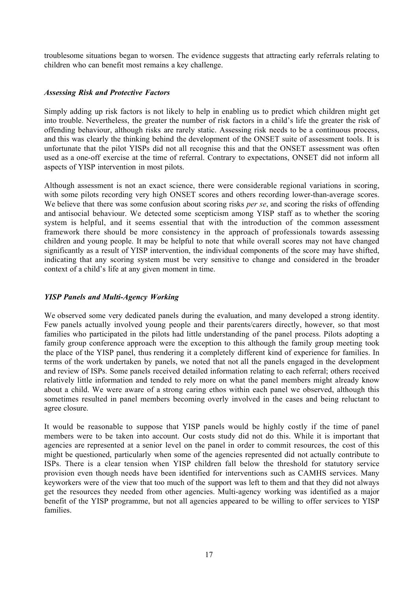troublesome situations began to worsen. The evidence suggests that attracting early referrals relating to children who can benefit most remains a key challenge.

#### *Assessing Risk and Protective Factors*

Simply adding up risk factors is not likely to help in enabling us to predict which children might get into trouble. Nevertheless, the greater the number of risk factors in a child's life the greater the risk of offending behaviour, although risks are rarely static. Assessing risk needs to be a continuous process, and this was clearly the thinking behind the development of the ONSET suite of assessment tools. It is unfortunate that the pilot YISPs did not all recognise this and that the ONSET assessment was often used as a one-off exercise at the time of referral. Contrary to expectations, ONSET did not inform all aspects of YISP intervention in most pilots.

Although assessment is not an exact science, there were considerable regional variations in scoring, with some pilots recording very high ONSET scores and others recording lower-than-average scores. We believe that there was some confusion about scoring risks *per se*, and scoring the risks of offending and antisocial behaviour. We detected some scepticism among YISP staff as to whether the scoring system is helpful, and it seems essential that with the introduction of the common assessment framework there should be more consistency in the approach of professionals towards assessing children and young people. It may be helpful to note that while overall scores may not have changed significantly as a result of YISP intervention, the individual components of the score may have shifted, indicating that any scoring system must be very sensitive to change and considered in the broader context of a child's life at any given moment in time.

# *YISP Panels and Multi-Agency Working*

We observed some very dedicated panels during the evaluation, and many developed a strong identity. Few panels actually involved young people and their parents/carers directly, however, so that most families who participated in the pilots had little understanding of the panel process. Pilots adopting a family group conference approach were the exception to this although the family group meeting took the place of the YISP panel, thus rendering it a completely different kind of experience for families. In terms of the work undertaken by panels, we noted that not all the panels engaged in the development and review of ISPs. Some panels received detailed information relating to each referral; others received relatively little information and tended to rely more on what the panel members might already know about a child. We were aware of a strong caring ethos within each panel we observed, although this sometimes resulted in panel members becoming overly involved in the cases and being reluctant to agree closure.

It would be reasonable to suppose that YISP panels would be highly costly if the time of panel members were to be taken into account. Our costs study did not do this. While it is important that agencies are represented at a senior level on the panel in order to commit resources, the cost of this might be questioned, particularly when some of the agencies represented did not actually contribute to ISPs. There is a clear tension when YISP children fall below the threshold for statutory service provision even though needs have been identified for interventions such as CAMHS services. Many keyworkers were of the view that too much of the support was left to them and that they did not always get the resources they needed from other agencies. Multi-agency working was identified as a major benefit of the YISP programme, but not all agencies appeared to be willing to offer services to YISP families.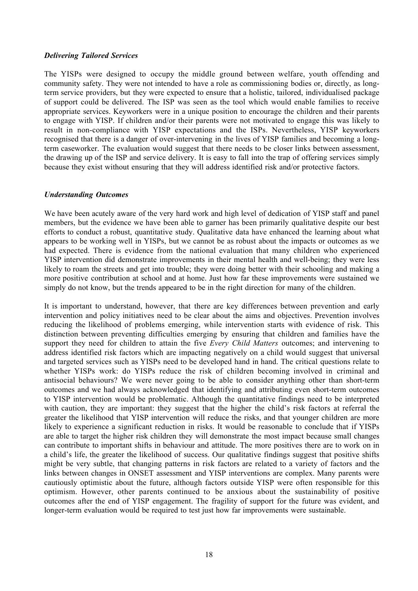#### *Delivering Tailored Services*

The YISPs were designed to occupy the middle ground between welfare, youth offending and community safety. They were not intended to have a role as commissioning bodies or, directly, as longterm service providers, but they were expected to ensure that a holistic, tailored, individualised package of support could be delivered. The ISP was seen as the tool which would enable families to receive appropriate services. Keyworkers were in a unique position to encourage the children and their parents to engage with YISP. If children and/or their parents were not motivated to engage this was likely to result in non-compliance with YISP expectations and the ISPs. Nevertheless, YISP keyworkers recognised that there is a danger of over-intervening in the lives of YISP families and becoming a longterm caseworker. The evaluation would suggest that there needs to be closer links between assessment, the drawing up of the ISP and service delivery. It is easy to fall into the trap of offering services simply because they exist without ensuring that they will address identified risk and/or protective factors.

# *Understanding Outcomes*

We have been acutely aware of the very hard work and high level of dedication of YISP staff and panel members, but the evidence we have been able to garner has been primarily qualitative despite our best efforts to conduct a robust, quantitative study. Qualitative data have enhanced the learning about what appears to be working well in YISPs, but we cannot be as robust about the impacts or outcomes as we had expected. There is evidence from the national evaluation that many children who experienced YISP intervention did demonstrate improvements in their mental health and well-being; they were less likely to roam the streets and get into trouble; they were doing better with their schooling and making a more positive contribution at school and at home. Just how far these improvements were sustained we simply do not know, but the trends appeared to be in the right direction for many of the children.

It is important to understand, however, that there are key differences between prevention and early intervention and policy initiatives need to be clear about the aims and objectives. Prevention involves reducing the likelihood of problems emerging, while intervention starts with evidence of risk. This distinction between preventing difficulties emerging by ensuring that children and families have the support they need for children to attain the five *Every Child Matters* outcomes; and intervening to address identified risk factors which are impacting negatively on a child would suggest that universal and targeted services such as YISPs need to be developed hand in hand. The critical questions relate to whether YISPs work: do YISPs reduce the risk of children becoming involved in criminal and antisocial behaviours? We were never going to be able to consider anything other than short-term outcomes and we had always acknowledged that identifying and attributing even short-term outcomes to YISP intervention would be problematic. Although the quantitative findings need to be interpreted with caution, they are important: they suggest that the higher the child's risk factors at referral the greater the likelihood that YISP intervention will reduce the risks, and that younger children are more likely to experience a significant reduction in risks. It would be reasonable to conclude that if YISPs are able to target the higher risk children they will demonstrate the most impact because small changes can contribute to important shifts in behaviour and attitude. The more positives there are to work on in a child's life, the greater the likelihood of success. Our qualitative findings suggest that positive shifts might be very subtle, that changing patterns in risk factors are related to a variety of factors and the links between changes in ONSET assessment and YISP interventions are complex. Many parents were cautiously optimistic about the future, although factors outside YISP were often responsible for this optimism. However, other parents continued to be anxious about the sustainability of positive outcomes after the end of YISP engagement. The fragility of support for the future was evident, and longer-term evaluation would be required to test just how far improvements were sustainable.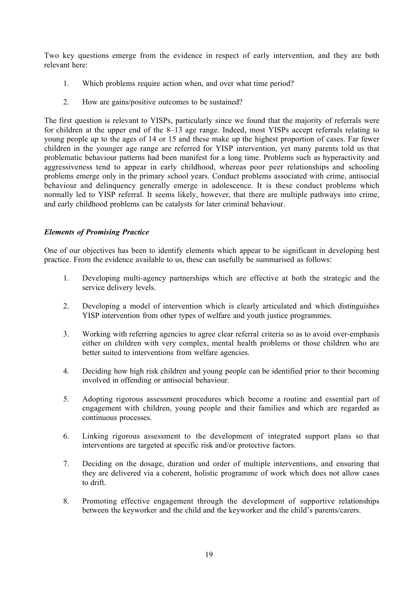Two key questions emerge from the evidence in respect of early intervention, and they are both relevant here:

- 1. Which problems require action when, and over what time period?
- 2. How are gains/positive outcomes to be sustained?

The first question is relevant to YISPs, particularly since we found that the majority of referrals were for children at the upper end of the 8–13 age range. Indeed, most YISPs accept referrals relating to young people up to the ages of 14 or 15 and these make up the highest proportion of cases. Far fewer children in the younger age range are referred for YISP intervention, yet many parents told us that problematic behaviour patterns had been manifest for a long time. Problems such as hyperactivity and aggressiveness tend to appear in early childhood, whereas poor peer relationships and schooling problems emerge only in the primary school years. Conduct problems associated with crime, antisocial behaviour and delinquency generally emerge in adolescence. It is these conduct problems which normally led to YISP referral. It seems likely, however, that there are multiple pathways into crime, and early childhood problems can be catalysts for later criminal behaviour.

#### *Elements of Promising Practice*

One of our objectives has been to identify elements which appear to be significant in developing best practice. From the evidence available to us, these can usefully be summarised as follows:

- 1. Developing multi-agency partnerships which are effective at both the strategic and the service delivery levels.
- 2. Developing a model of intervention which is clearly articulated and which distinguishes YISP intervention from other types of welfare and youth justice programmes.
- 3. Working with referring agencies to agree clear referral criteria so as to avoid over-emphasis either on children with very complex, mental health problems or those children who are better suited to interventions from welfare agencies.
- 4. Deciding how high risk children and young people can be identified prior to their becoming involved in offending or antisocial behaviour.
- 5. Adopting rigorous assessment procedures which become a routine and essential part of engagement with children, young people and their families and which are regarded as continuous processes.
- 6. Linking rigorous assessment to the development of integrated support plans so that interventions are targeted at specific risk and/or protective factors.
- 7. Deciding on the dosage, duration and order of multiple interventions, and ensuring that they are delivered via a coherent, holistic programme of work which does not allow cases to drift.
- 8. Promoting effective engagement through the development of supportive relationships between the keyworker and the child and the keyworker and the child's parents/carers.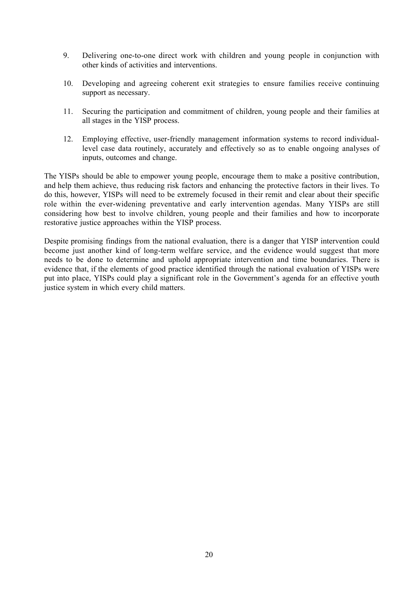- 9. Delivering one-to-one direct work with children and young people in conjunction with other kinds of activities and interventions.
- 10. Developing and agreeing coherent exit strategies to ensure families receive continuing support as necessary.
- 11. Securing the participation and commitment of children, young people and their families at all stages in the YISP process.
- 12. Employing effective, user-friendly management information systems to record individuallevel case data routinely, accurately and effectively so as to enable ongoing analyses of inputs, outcomes and change.

The YISPs should be able to empower young people, encourage them to make a positive contribution, and help them achieve, thus reducing risk factors and enhancing the protective factors in their lives. To do this, however, YISPs will need to be extremely focused in their remit and clear about their specific role within the ever-widening preventative and early intervention agendas. Many YISPs are still considering how best to involve children, young people and their families and how to incorporate restorative justice approaches within the YISP process.

Despite promising findings from the national evaluation, there is a danger that YISP intervention could become just another kind of long-term welfare service, and the evidence would suggest that more needs to be done to determine and uphold appropriate intervention and time boundaries. There is evidence that, if the elements of good practice identified through the national evaluation of YISPs were put into place, YISPs could play a significant role in the Government's agenda for an effective youth justice system in which every child matters.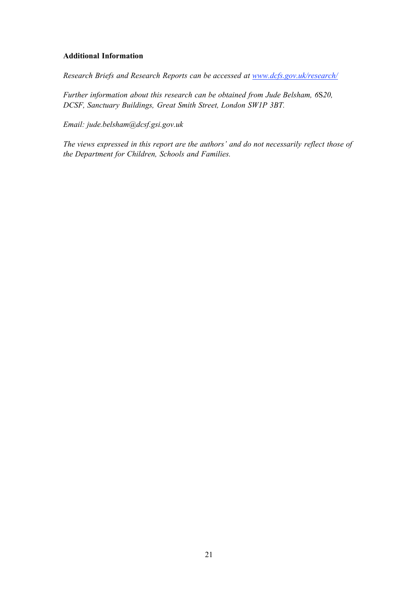#### **Additional Information**

*Research Briefs and Research Reports can be accessed at www.dcfs.gov.uk/research/*

*Further information about this research can be obtained from Jude Belsham, 6*S*20, DCSF, Sanctuary Buildings, Great Smith Street, London SW1P 3BT.* 

*Email: jude.belsham@dcsf.gsi.gov.uk*

*The views expressed in this report are the authors' and do not necessarily reflect those of the Department for Children, Schools and Families.*